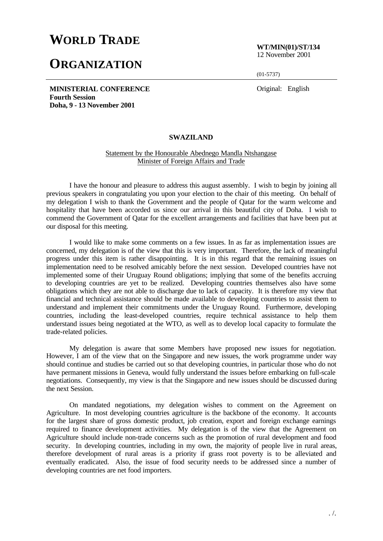## **WORLD TRADE**

## **ORGANIZATION**

**WT/MIN(01)/ST/134** 12 November 2001

(01-5737)

Original: English

**MINISTERIAL CONFERENCE Fourth Session Doha, 9 - 13 November 2001**

## **SWAZILAND**

## Statement by the Honourable Abednego Mandla Ntshangase Minister of Foreign Affairs and Trade

I have the honour and pleasure to address this august assembly. I wish to begin by joining all previous speakers in congratulating you upon your election to the chair of this meeting. On behalf of my delegation I wish to thank the Government and the people of Qatar for the warm welcome and hospitality that have been accorded us since our arrival in this beautiful city of Doha. I wish to commend the Government of Qatar for the excellent arrangements and facilities that have been put at our disposal for this meeting.

I would like to make some comments on a few issues. In as far as implementation issues are concerned, my delegation is of the view that this is very important. Therefore, the lack of meaningful progress under this item is rather disappointing. It is in this regard that the remaining issues on implementation need to be resolved amicably before the next session. Developed countries have not implemented some of their Uruguay Round obligations; implying that some of the benefits accruing to developing countries are yet to be realized. Developing countries themselves also have some obligations which they are not able to discharge due to lack of capacity. It is therefore my view that financial and technical assistance should be made available to developing countries to assist them to understand and implement their commitments under the Uruguay Round. Furthermore, developing countries, including the least-developed countries, require technical assistance to help them understand issues being negotiated at the WTO, as well as to develop local capacity to formulate the trade-related policies.

My delegation is aware that some Members have proposed new issues for negotiation. However, I am of the view that on the Singapore and new issues, the work programme under way should continue and studies be carried out so that developing countries, in particular those who do not have permanent missions in Geneva, would fully understand the issues before embarking on full-scale negotiations. Consequently, my view is that the Singapore and new issues should be discussed during the next Session.

On mandated negotiations, my delegation wishes to comment on the Agreement on Agriculture. In most developing countries agriculture is the backbone of the economy. It accounts for the largest share of gross domestic product, job creation, export and foreign exchange earnings required to finance development activities. My delegation is of the view that the Agreement on Agriculture should include non-trade concerns such as the promotion of rural development and food security. In developing countries, including in my own, the majority of people live in rural areas, therefore development of rural areas is a priority if grass root poverty is to be alleviated and eventually eradicated. Also, the issue of food security needs to be addressed since a number of developing countries are net food importers.